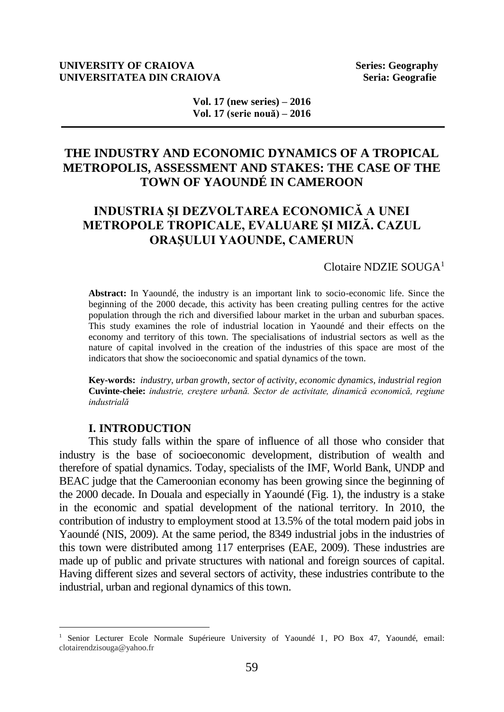### **UNIVERSITY OF CRAIOVA Series: Geography UNIVERSITATEA DIN CRAIOVA Seria: Geografie Seria: Geografie**

**Vol. 17 (new series) – 2016 Vol. 17 (serie nouă) – 2016**

## **THE INDUSTRY AND ECONOMIC DYNAMICS OF A TROPICAL METROPOLIS, ASSESSMENT AND STAKES: THE CASE OF THE TOWN OF YAOUNDÉ IN CAMEROON**

# **INDUSTRIA ŞI DEZVOLTAREA ECONOMICĂ A UNEI METROPOLE TROPICALE, EVALUARE ŞI MIZĂ. CAZUL ORAŞULUI YAOUNDE, CAMERUN**

## Clotaire NDZIE SOUGA<sup>1</sup>

**Abstract:** In Yaoundé, the industry is an important link to socio-economic life. Since the beginning of the 2000 decade, this activity has been creating pulling centres for the active population through the rich and diversified labour market in the urban and suburban spaces. This study examines the role of industrial location in Yaoundé and their effects on the economy and territory of this town. The specialisations of industrial sectors as well as the nature of capital involved in the creation of the industries of this space are most of the indicators that show the socioeconomic and spatial dynamics of the town.

**Key-words:** *industry, urban growth, sector of activity, economic dynamics, industrial region* **Cuvinte-cheie:** *industrie, creştere urbană. Sector de activitate, dinamică economică, regiune industrială*

#### **I. INTRODUCTION**

 $\overline{a}$ 

This study falls within the spare of influence of all those who consider that industry is the base of socioeconomic development, distribution of wealth and therefore of spatial dynamics. Today, specialists of the IMF, World Bank, UNDP and BEAC judge that the Cameroonian economy has been growing since the beginning of the 2000 decade. In Douala and especially in Yaoundé (Fig. 1), the industry is a stake in the economic and spatial development of the national territory. In 2010, the contribution of industry to employment stood at 13.5% of the total modern paid jobs in Yaoundé (NIS, 2009). At the same period, the 8349 industrial jobs in the industries of this town were distributed among 117 enterprises (EAE, 2009). These industries are made up of public and private structures with national and foreign sources of capital. Having different sizes and several sectors of activity, these industries contribute to the industrial, urban and regional dynamics of this town.

<sup>&</sup>lt;sup>1</sup> Senior Lecturer Ecole Normale Supérieure University of Yaoundé I, PO Box 47, Yaoundé, email: [clotairendzisouga@yahoo.fr](mailto:clotairendzisouga@yahoo.fr)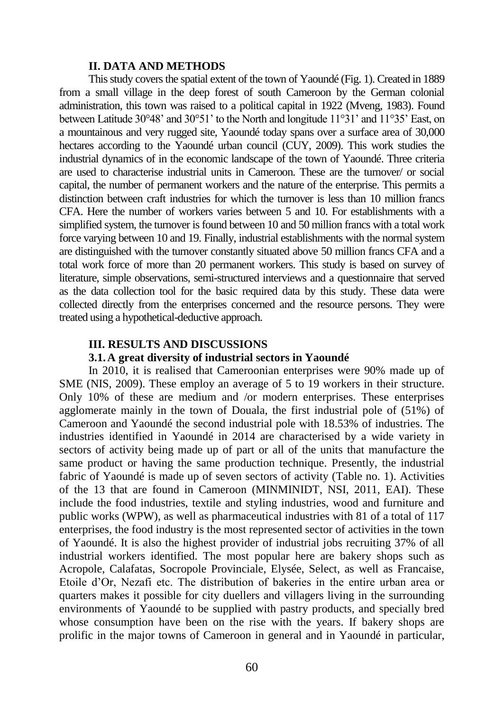#### **II. DATA AND METHODS**

This study covers the spatial extent of the town of Yaoundé (Fig. 1). Created in 1889 from a small village in the deep forest of south Cameroon by the German colonial administration, this town was raised to a political capital in 1922 (Mveng, 1983). Found between Latitude 30°48' and 30°51' to the North and longitude 11°31' and 11°35' East, on a mountainous and very rugged site, Yaoundé today spans over a surface area of 30,000 hectares according to the Yaoundé urban council (CUY, 2009). This work studies the industrial dynamics of in the economic landscape of the town of Yaoundé. Three criteria are used to characterise industrial units in Cameroon. These are the turnover/ or social capital, the number of permanent workers and the nature of the enterprise. This permits a distinction between craft industries for which the turnover is less than 10 million francs CFA. Here the number of workers varies between 5 and 10. For establishments with a simplified system, the turnover is found between 10 and 50 million francs with a total work force varying between 10 and 19. Finally, industrial establishments with the normal system are distinguished with the turnover constantly situated above 50 million francs CFA and a total work force of more than 20 permanent workers. This study is based on survey of literature, simple observations, semi-structured interviews and a questionnaire that served as the data collection tool for the basic required data by this study. These data were collected directly from the enterprises concerned and the resource persons. They were treated using a hypothetical-deductive approach.

### **III. RESULTS AND DISCUSSIONS**

### **3.1.A great diversity of industrial sectors in Yaoundé**

In 2010, it is realised that Cameroonian enterprises were 90% made up of SME (NIS, 2009). These employ an average of 5 to 19 workers in their structure. Only 10% of these are medium and /or modern enterprises. These enterprises agglomerate mainly in the town of Douala, the first industrial pole of (51%) of Cameroon and Yaoundé the second industrial pole with 18.53% of industries. The industries identified in Yaoundé in 2014 are characterised by a wide variety in sectors of activity being made up of part or all of the units that manufacture the same product or having the same production technique. Presently, the industrial fabric of Yaoundé is made up of seven sectors of activity (Table no. 1). Activities of the 13 that are found in Cameroon (MINMINIDT, NSI, 2011, EAI). These include the food industries, textile and styling industries, wood and furniture and public works (WPW), as well as pharmaceutical industries with 81 of a total of 117 enterprises, the food industry is the most represented sector of activities in the town of Yaoundé. It is also the highest provider of industrial jobs recruiting 37% of all industrial workers identified. The most popular here are bakery shops such as Acropole, Calafatas, Socropole Provinciale, Elysée, Select, as well as Francaise, Etoile d'Or, Nezafi etc. The distribution of bakeries in the entire urban area or quarters makes it possible for city duellers and villagers living in the surrounding environments of Yaoundé to be supplied with pastry products, and specially bred whose consumption have been on the rise with the years. If bakery shops are prolific in the major towns of Cameroon in general and in Yaoundé in particular,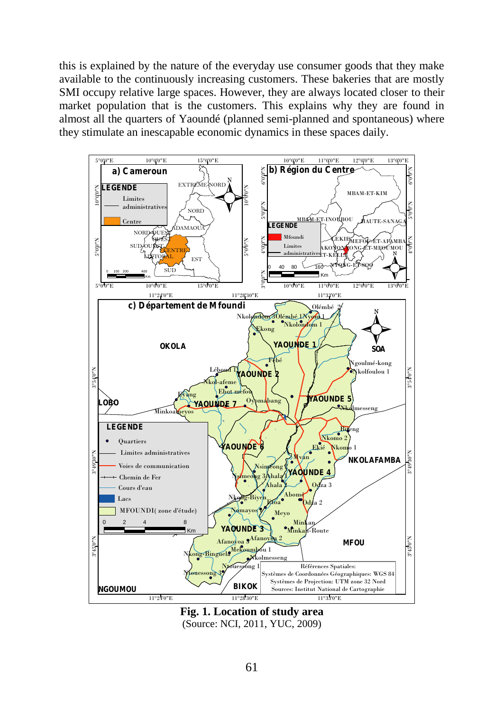this is explained by the nature of the everyday use consumer goods that they make available to the continuously increasing customers. These bakeries that are mostly SMI occupy relative large spaces. However, they are always located closer to their market population that is the customers. This explains why they are found in almost all the quarters of Yaoundé (planned semi-planned and spontaneous) where they stimulate an inescapable economic dynamics in these spaces daily.



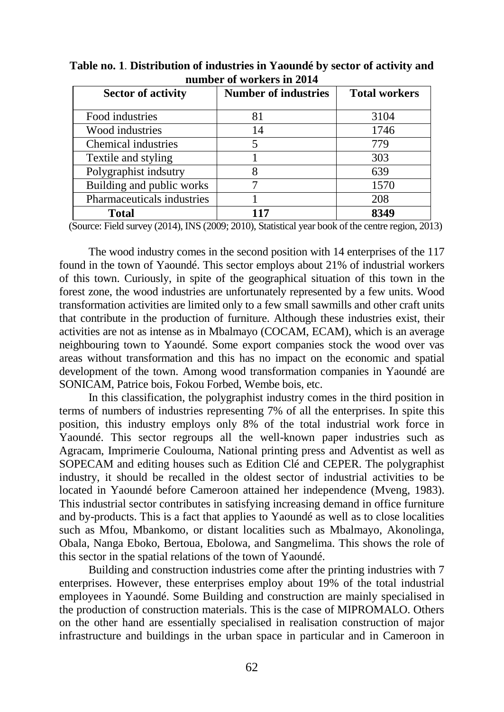| <b>Sector of activity</b>  | <b>Number of industries</b> | <b>Total workers</b> |
|----------------------------|-----------------------------|----------------------|
|                            |                             |                      |
| Food industries            | 81                          | 3104                 |
| Wood industries            | 14                          | 1746                 |
| Chemical industries        |                             | 779                  |
| Textile and styling        |                             | 303                  |
| Polygraphist indsutry      |                             | 639                  |
| Building and public works  |                             | 1570                 |
| Pharmaceuticals industries |                             | 208                  |
| <b>Total</b>               |                             | 8349                 |

**Table no. 1**. **Distribution of industries in Yaoundé by sector of activity and number of workers in 2014**

(Source: Field survey (2014), INS (2009; 2010), Statistical year book of the centre region, 2013)

The wood industry comes in the second position with 14 enterprises of the 117 found in the town of Yaoundé. This sector employs about 21% of industrial workers of this town. Curiously, in spite of the geographical situation of this town in the forest zone, the wood industries are unfortunately represented by a few units. Wood transformation activities are limited only to a few small sawmills and other craft units that contribute in the production of furniture. Although these industries exist, their activities are not as intense as in Mbalmayo (COCAM, ECAM), which is an average neighbouring town to Yaoundé. Some export companies stock the wood over vas areas without transformation and this has no impact on the economic and spatial development of the town. Among wood transformation companies in Yaoundé are SONICAM, Patrice bois, Fokou Forbed, Wembe bois, etc.

In this classification, the polygraphist industry comes in the third position in terms of numbers of industries representing 7% of all the enterprises. In spite this position, this industry employs only 8% of the total industrial work force in Yaoundé. This sector regroups all the well-known paper industries such as Agracam, Imprimerie Coulouma, National printing press and Adventist as well as SOPECAM and editing houses such as Edition Clé and CEPER. The polygraphist industry, it should be recalled in the oldest sector of industrial activities to be located in Yaoundé before Cameroon attained her independence (Mveng, 1983). This industrial sector contributes in satisfying increasing demand in office furniture and by-products. This is a fact that applies to Yaoundé as well as to close localities such as Mfou, Mbankomo, or distant localities such as Mbalmayo, Akonolinga, Obala, Nanga Eboko, Bertoua, Ebolowa, and Sangmelima. This shows the role of this sector in the spatial relations of the town of Yaoundé.

Building and construction industries come after the printing industries with 7 enterprises. However, these enterprises employ about 19% of the total industrial employees in Yaoundé. Some Building and construction are mainly specialised in the production of construction materials. This is the case of MIPROMALO. Others on the other hand are essentially specialised in realisation construction of major infrastructure and buildings in the urban space in particular and in Cameroon in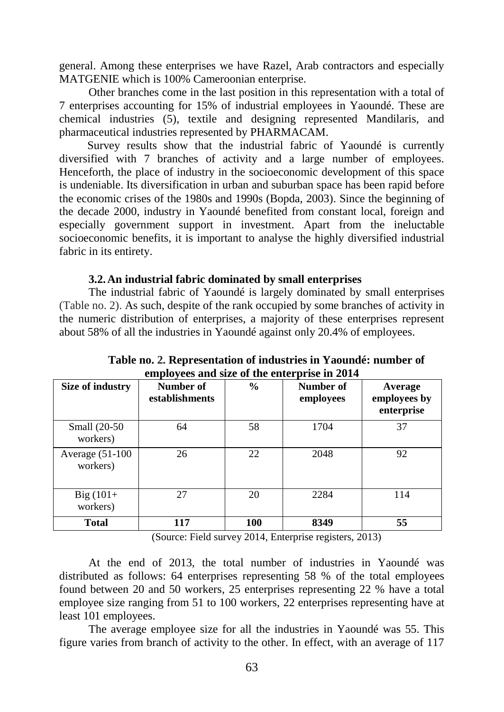general. Among these enterprises we have Razel, Arab contractors and especially MATGENIE which is 100% Cameroonian enterprise.

Other branches come in the last position in this representation with a total of 7 enterprises accounting for 15% of industrial employees in Yaoundé. These are chemical industries (5), textile and designing represented Mandilaris, and pharmaceutical industries represented by PHARMACAM.

Survey results show that the industrial fabric of Yaoundé is currently diversified with 7 branches of activity and a large number of employees. Henceforth, the place of industry in the socioeconomic development of this space is undeniable. Its diversification in urban and suburban space has been rapid before the economic crises of the 1980s and 1990s (Bopda, 2003). Since the beginning of the decade 2000, industry in Yaoundé benefited from constant local, foreign and especially government support in investment. Apart from the ineluctable socioeconomic benefits, it is important to analyse the highly diversified industrial fabric in its entirety.

## **3.2.An industrial fabric dominated by small enterprises**

The industrial fabric of Yaoundé is largely dominated by small enterprises (Table no. 2). As such, despite of the rank occupied by some branches of activity in the numeric distribution of enterprises, a majority of these enterprises represent about 58% of all the industries in Yaoundé against only 20.4% of employees.

| Size of industry               | Number of<br>establishments | $\frac{6}{9}$ | Number of<br>employees | Average<br>employees by<br>enterprise |
|--------------------------------|-----------------------------|---------------|------------------------|---------------------------------------|
| Small (20-50)<br>workers)      | 64                          | 58            | 1704                   | 37                                    |
| Average $(51-100)$<br>workers) | 26                          | 22            | 2048                   | 92                                    |
| $Big(101+$<br>workers)         | 27                          | 20            | 2284                   | 114                                   |
| Total                          | 117                         | 100           | 8349                   | 55                                    |

**Table no. 2. Representation of industries in Yaoundé: number of employees and size of the enterprise in 2014**

(Source: Field survey 2014, Enterprise registers, 2013)

At the end of 2013, the total number of industries in Yaoundé was distributed as follows: 64 enterprises representing 58 % of the total employees found between 20 and 50 workers, 25 enterprises representing 22 % have a total employee size ranging from 51 to 100 workers, 22 enterprises representing have at least 101 employees.

The average employee size for all the industries in Yaoundé was 55. This figure varies from branch of activity to the other. In effect, with an average of 117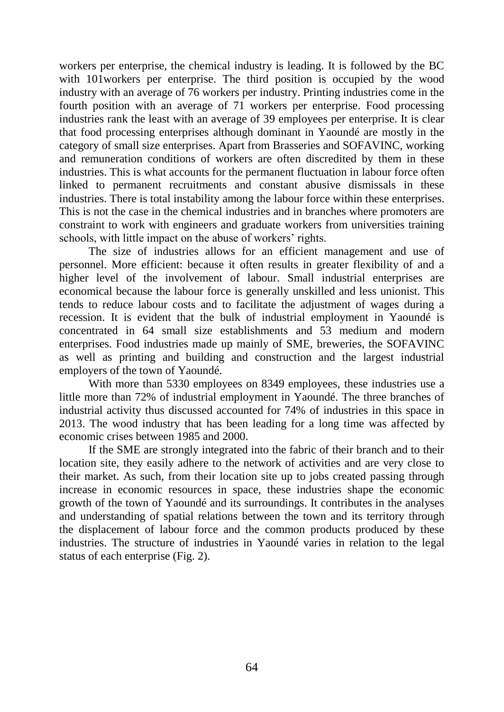workers per enterprise, the chemical industry is leading. It is followed by the BC with 101workers per enterprise. The third position is occupied by the wood industry with an average of 76 workers per industry. Printing industries come in the fourth position with an average of 71 workers per enterprise. Food processing industries rank the least with an average of 39 employees per enterprise. It is clear that food processing enterprises although dominant in Yaoundé are mostly in the category of small size enterprises. Apart from Brasseries and SOFAVINC, working and remuneration conditions of workers are often discredited by them in these industries. This is what accounts for the permanent fluctuation in labour force often linked to permanent recruitments and constant abusive dismissals in these industries. There is total instability among the labour force within these enterprises. This is not the case in the chemical industries and in branches where promoters are constraint to work with engineers and graduate workers from universities training schools, with little impact on the abuse of workers' rights.

The size of industries allows for an efficient management and use of personnel. More efficient: because it often results in greater flexibility of and a higher level of the involvement of labour. Small industrial enterprises are economical because the labour force is generally unskilled and less unionist. This tends to reduce labour costs and to facilitate the adjustment of wages during a recession. It is evident that the bulk of industrial employment in Yaoundé is concentrated in 64 small size establishments and 53 medium and modern enterprises. Food industries made up mainly of SME, breweries, the SOFAVINC as well as printing and building and construction and the largest industrial employers of the town of Yaoundé.

With more than 5330 employees on 8349 employees, these industries use a little more than 72% of industrial employment in Yaoundé. The three branches of industrial activity thus discussed accounted for 74% of industries in this space in 2013. The wood industry that has been leading for a long time was affected by economic crises between 1985 and 2000.

If the SME are strongly integrated into the fabric of their branch and to their location site, they easily adhere to the network of activities and are very close to their market. As such, from their location site up to jobs created passing through increase in economic resources in space, these industries shape the economic growth of the town of Yaoundé and its surroundings. It contributes in the analyses and understanding of spatial relations between the town and its territory through the displacement of labour force and the common products produced by these industries. The structure of industries in Yaoundé varies in relation to the legal status of each enterprise (Fig. 2).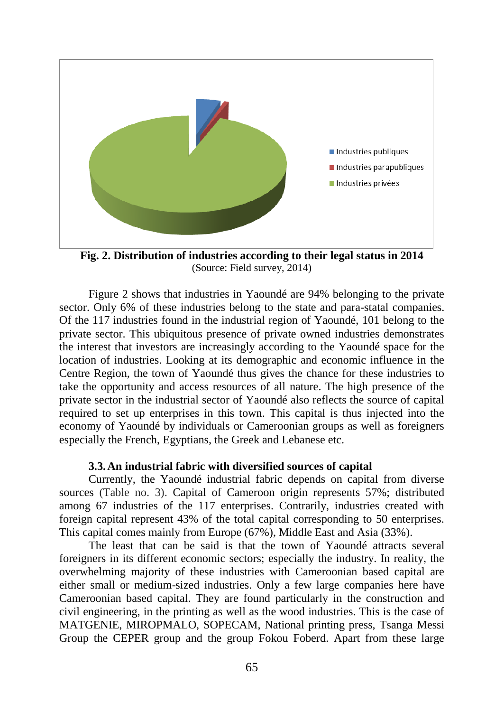

**Fig. 2. Distribution of industries according to their legal status in 2014** (Source: Field survey, 2014)

Figure 2 shows that industries in Yaoundé are 94% belonging to the private sector. Only 6% of these industries belong to the state and para-statal companies. Of the 117 industries found in the industrial region of Yaoundé, 101 belong to the private sector. This ubiquitous presence of private owned industries demonstrates the interest that investors are increasingly according to the Yaoundé space for the location of industries. Looking at its demographic and economic influence in the Centre Region, the town of Yaoundé thus gives the chance for these industries to take the opportunity and access resources of all nature. The high presence of the private sector in the industrial sector of Yaoundé also reflects the source of capital required to set up enterprises in this town. This capital is thus injected into the economy of Yaoundé by individuals or Cameroonian groups as well as foreigners especially the French, Egyptians, the Greek and Lebanese etc.

### **3.3.An industrial fabric with diversified sources of capital**

Currently, the Yaoundé industrial fabric depends on capital from diverse sources (Table no. 3). Capital of Cameroon origin represents 57%; distributed among 67 industries of the 117 enterprises. Contrarily, industries created with foreign capital represent 43% of the total capital corresponding to 50 enterprises. This capital comes mainly from Europe (67%), Middle East and Asia (33%).

The least that can be said is that the town of Yaoundé attracts several foreigners in its different economic sectors; especially the industry. In reality, the overwhelming majority of these industries with Cameroonian based capital are either small or medium-sized industries. Only a few large companies here have Cameroonian based capital. They are found particularly in the construction and civil engineering, in the printing as well as the wood industries. This is the case of MATGENIE, MIROPMALO, SOPECAM, National printing press, Tsanga Messi Group the CEPER group and the group Fokou Foberd. Apart from these large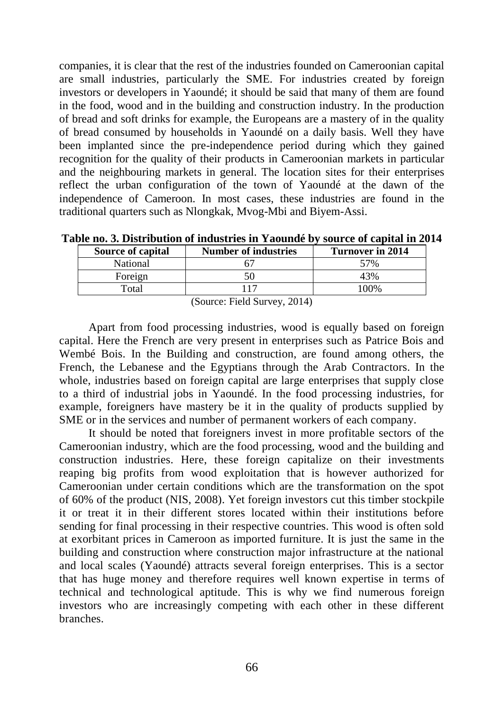companies, it is clear that the rest of the industries founded on Cameroonian capital are small industries, particularly the SME. For industries created by foreign investors or developers in Yaoundé; it should be said that many of them are found in the food, wood and in the building and construction industry. In the production of bread and soft drinks for example, the Europeans are a mastery of in the quality of bread consumed by households in Yaoundé on a daily basis. Well they have been implanted since the pre-independence period during which they gained recognition for the quality of their products in Cameroonian markets in particular and the neighbouring markets in general. The location sites for their enterprises reflect the urban configuration of the town of Yaoundé at the dawn of the independence of Cameroon. In most cases, these industries are found in the traditional quarters such as Nlongkak, Mvog-Mbi and Biyem-Assi.

**Table no. 3. Distribution of industries in Yaoundé by source of capital in 2014**

| <b>Source of capital</b> | <b>Number of industries</b> | Turnover in 2014 |  |  |
|--------------------------|-----------------------------|------------------|--|--|
| National                 |                             | 57%              |  |  |
| Foreign                  |                             | 43%              |  |  |
| Total                    |                             | 100%             |  |  |
| (0, 110, 0.014)          |                             |                  |  |  |

(Source: Field Survey, 2014)

Apart from food processing industries, wood is equally based on foreign capital. Here the French are very present in enterprises such as Patrice Bois and Wembé Bois. In the Building and construction, are found among others, the French, the Lebanese and the Egyptians through the Arab Contractors. In the whole, industries based on foreign capital are large enterprises that supply close to a third of industrial jobs in Yaoundé. In the food processing industries, for example, foreigners have mastery be it in the quality of products supplied by SME or in the services and number of permanent workers of each company.

It should be noted that foreigners invest in more profitable sectors of the Cameroonian industry, which are the food processing, wood and the building and construction industries. Here, these foreign capitalize on their investments reaping big profits from wood exploitation that is however authorized for Cameroonian under certain conditions which are the transformation on the spot of 60% of the product (NIS, 2008). Yet foreign investors cut this timber stockpile it or treat it in their different stores located within their institutions before sending for final processing in their respective countries. This wood is often sold at exorbitant prices in Cameroon as imported furniture. It is just the same in the building and construction where construction major infrastructure at the national and local scales (Yaoundé) attracts several foreign enterprises. This is a sector that has huge money and therefore requires well known expertise in terms of technical and technological aptitude. This is why we find numerous foreign investors who are increasingly competing with each other in these different branches.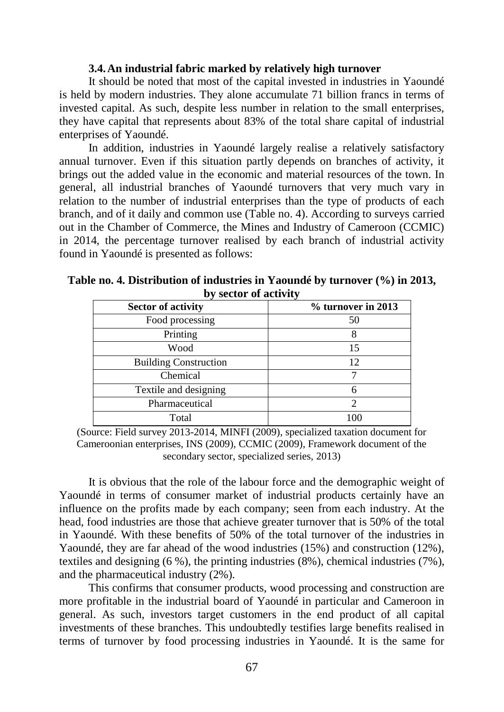### **3.4.An industrial fabric marked by relatively high turnover**

It should be noted that most of the capital invested in industries in Yaoundé is held by modern industries. They alone accumulate 71 billion francs in terms of invested capital. As such, despite less number in relation to the small enterprises, they have capital that represents about 83% of the total share capital of industrial enterprises of Yaoundé.

In addition, industries in Yaoundé largely realise a relatively satisfactory annual turnover. Even if this situation partly depends on branches of activity, it brings out the added value in the economic and material resources of the town. In general, all industrial branches of Yaoundé turnovers that very much vary in relation to the number of industrial enterprises than the type of products of each branch, and of it daily and common use (Table no. 4). According to surveys carried out in the Chamber of Commerce, the Mines and Industry of Cameroon (CCMIC) in 2014, the percentage turnover realised by each branch of industrial activity found in Yaoundé is presented as follows:

| <u>vy sector of activity</u> |                    |  |  |
|------------------------------|--------------------|--|--|
| <b>Sector of activity</b>    | % turnover in 2013 |  |  |
| Food processing              | 50                 |  |  |
| Printing                     | 8                  |  |  |
| Wood                         | 15                 |  |  |
| <b>Building Construction</b> | 12                 |  |  |
| Chemical                     |                    |  |  |
| Textile and designing        |                    |  |  |
| Pharmaceutical               | っ                  |  |  |
| Total                        |                    |  |  |

**Table no. 4. Distribution of industries in Yaoundé by turnover (%) in 2013, by sector of activity**

(Source: Field survey 2013-2014, MINFI (2009), specialized taxation document for Cameroonian enterprises, INS (2009), CCMIC (2009), Framework document of the secondary sector, specialized series, 2013)

It is obvious that the role of the labour force and the demographic weight of Yaoundé in terms of consumer market of industrial products certainly have an influence on the profits made by each company; seen from each industry. At the head, food industries are those that achieve greater turnover that is 50% of the total in Yaoundé. With these benefits of 50% of the total turnover of the industries in Yaoundé, they are far ahead of the wood industries (15%) and construction (12%), textiles and designing (6 %), the printing industries (8%), chemical industries (7%), and the pharmaceutical industry (2%).

This confirms that consumer products, wood processing and construction are more profitable in the industrial board of Yaoundé in particular and Cameroon in general. As such, investors target customers in the end product of all capital investments of these branches. This undoubtedly testifies large benefits realised in terms of turnover by food processing industries in Yaoundé. It is the same for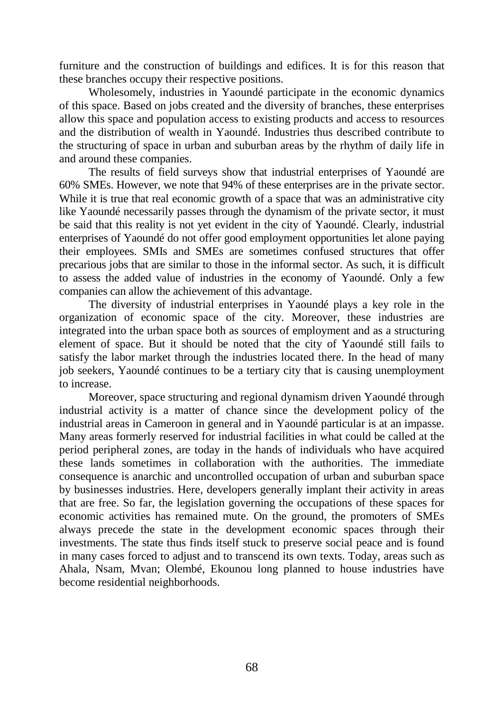furniture and the construction of buildings and edifices. It is for this reason that these branches occupy their respective positions.

Wholesomely, industries in Yaoundé participate in the economic dynamics of this space. Based on jobs created and the diversity of branches, these enterprises allow this space and population access to existing products and access to resources and the distribution of wealth in Yaoundé. Industries thus described contribute to the structuring of space in urban and suburban areas by the rhythm of daily life in and around these companies.

The results of field surveys show that industrial enterprises of Yaoundé are 60% SMEs. However, we note that 94% of these enterprises are in the private sector. While it is true that real economic growth of a space that was an administrative city like Yaoundé necessarily passes through the dynamism of the private sector, it must be said that this reality is not yet evident in the city of Yaoundé. Clearly, industrial enterprises of Yaoundé do not offer good employment opportunities let alone paying their employees. SMIs and SMEs are sometimes confused structures that offer precarious jobs that are similar to those in the informal sector. As such, it is difficult to assess the added value of industries in the economy of Yaoundé. Only a few companies can allow the achievement of this advantage.

The diversity of industrial enterprises in Yaoundé plays a key role in the organization of economic space of the city. Moreover, these industries are integrated into the urban space both as sources of employment and as a structuring element of space. But it should be noted that the city of Yaoundé still fails to satisfy the labor market through the industries located there. In the head of many job seekers, Yaoundé continues to be a tertiary city that is causing unemployment to increase.

Moreover, space structuring and regional dynamism driven Yaoundé through industrial activity is a matter of chance since the development policy of the industrial areas in Cameroon in general and in Yaoundé particular is at an impasse. Many areas formerly reserved for industrial facilities in what could be called at the period peripheral zones, are today in the hands of individuals who have acquired these lands sometimes in collaboration with the authorities. The immediate consequence is anarchic and uncontrolled occupation of urban and suburban space by businesses industries. Here, developers generally implant their activity in areas that are free. So far, the legislation governing the occupations of these spaces for economic activities has remained mute. On the ground, the promoters of SMEs always precede the state in the development economic spaces through their investments. The state thus finds itself stuck to preserve social peace and is found in many cases forced to adjust and to transcend its own texts. Today, areas such as Ahala, Nsam, Mvan; Olembé, Ekounou long planned to house industries have become residential neighborhoods.